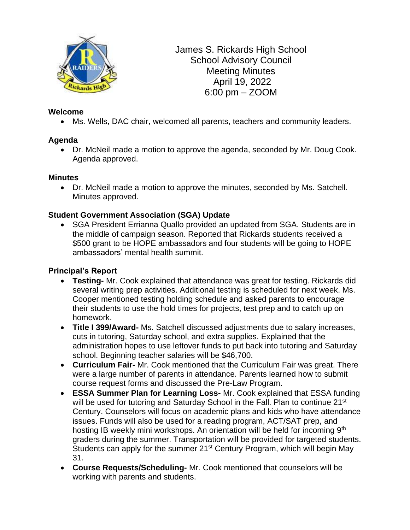

James S. Rickards High School School Advisory Council Meeting Minutes April 19, 2022 6:00 pm – ZOOM

## **Welcome**

• Ms. Wells, DAC chair, welcomed all parents, teachers and community leaders.

# **Agenda**

• Dr. McNeil made a motion to approve the agenda, seconded by Mr. Doug Cook. Agenda approved.

## **Minutes**

• Dr. McNeil made a motion to approve the minutes, seconded by Ms. Satchell. Minutes approved.

# **Student Government Association (SGA) Update**

• SGA President Errianna Quallo provided an updated from SGA. Students are in the middle of campaign season. Reported that Rickards students received a \$500 grant to be HOPE ambassadors and four students will be going to HOPE ambassadors' mental health summit.

## **Principal's Report**

- **Testing-** Mr. Cook explained that attendance was great for testing. Rickards did several writing prep activities. Additional testing is scheduled for next week. Ms. Cooper mentioned testing holding schedule and asked parents to encourage their students to use the hold times for projects, test prep and to catch up on homework.
- **Title I 399/Award-** Ms. Satchell discussed adjustments due to salary increases, cuts in tutoring, Saturday school, and extra supplies. Explained that the administration hopes to use leftover funds to put back into tutoring and Saturday school. Beginning teacher salaries will be \$46,700.
- **Curriculum Fair-** Mr. Cook mentioned that the Curriculum Fair was great. There were a large number of parents in attendance. Parents learned how to submit course request forms and discussed the Pre-Law Program.
- **ESSA Summer Plan for Learning Loss-** Mr. Cook explained that ESSA funding will be used for tutoring and Saturday School in the Fall. Plan to continue 21<sup>st</sup> Century. Counselors will focus on academic plans and kids who have attendance issues. Funds will also be used for a reading program, ACT/SAT prep, and hosting IB weekly mini workshops. An orientation will be held for incoming 9th graders during the summer. Transportation will be provided for targeted students. Students can apply for the summer 21<sup>st</sup> Century Program, which will begin May 31.
- **Course Requests/Scheduling-** Mr. Cook mentioned that counselors will be working with parents and students.